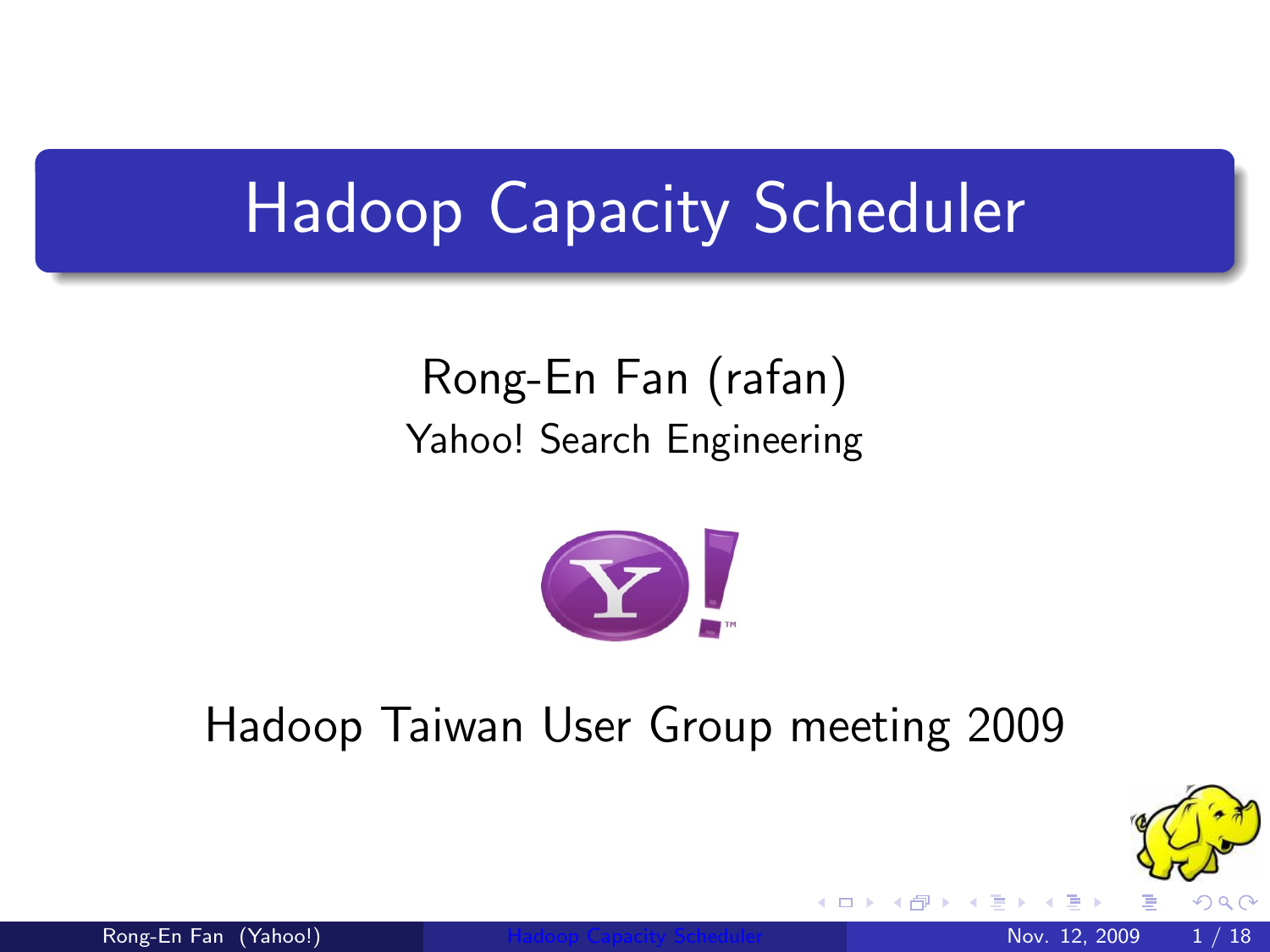## Hadoop Capacity Scheduler

#### Rong-En Fan (rafan) Yahoo! Search Engineering



#### Hadoop Taiwan User Group meeting 2009

<span id="page-0-0"></span>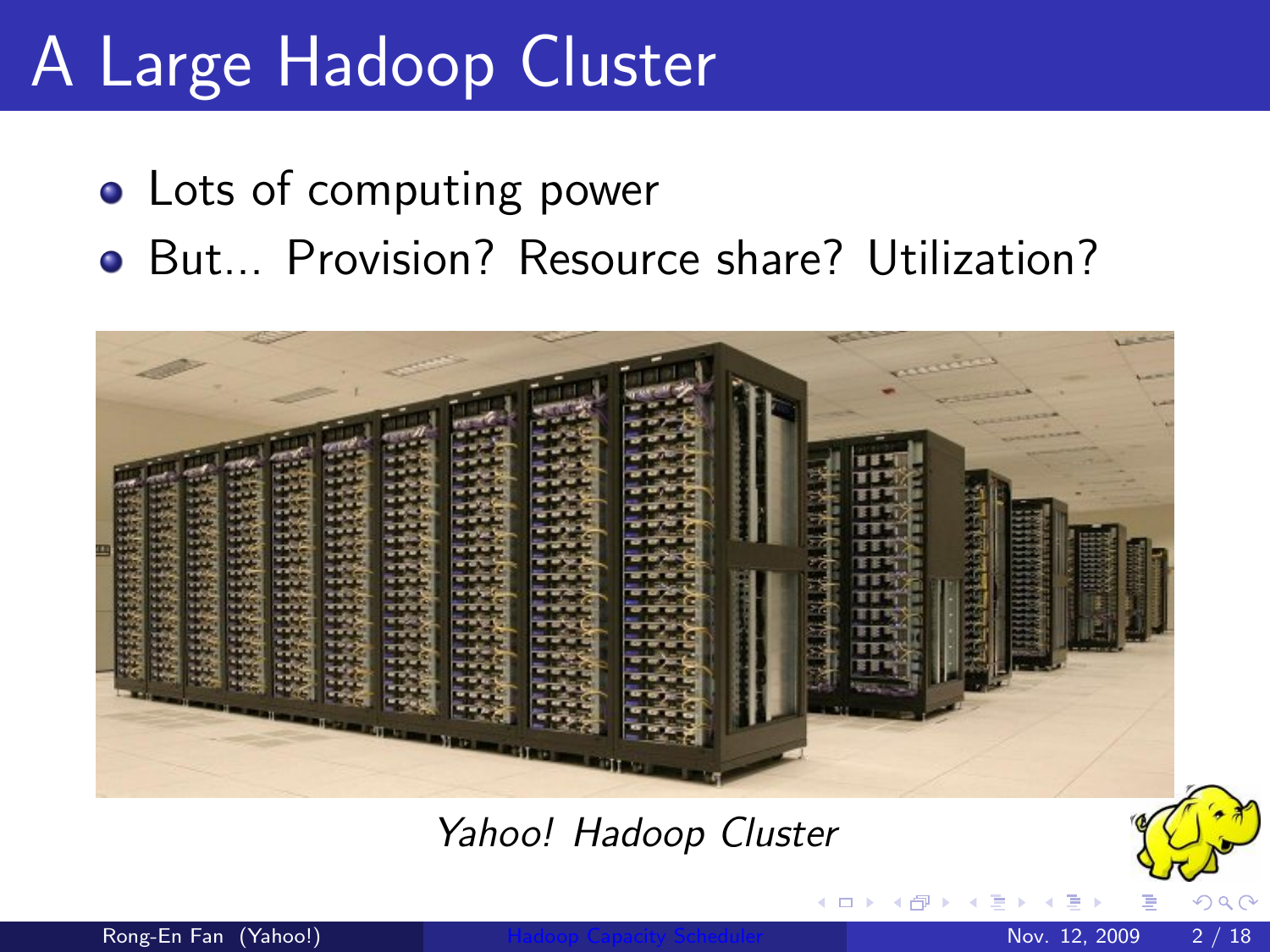## A Large Hadoop Cluster

- Lots of computing power
- **•** But... Provision? Resource share? Utilization?



Yahoo! Hadoop Cluster

4 D F

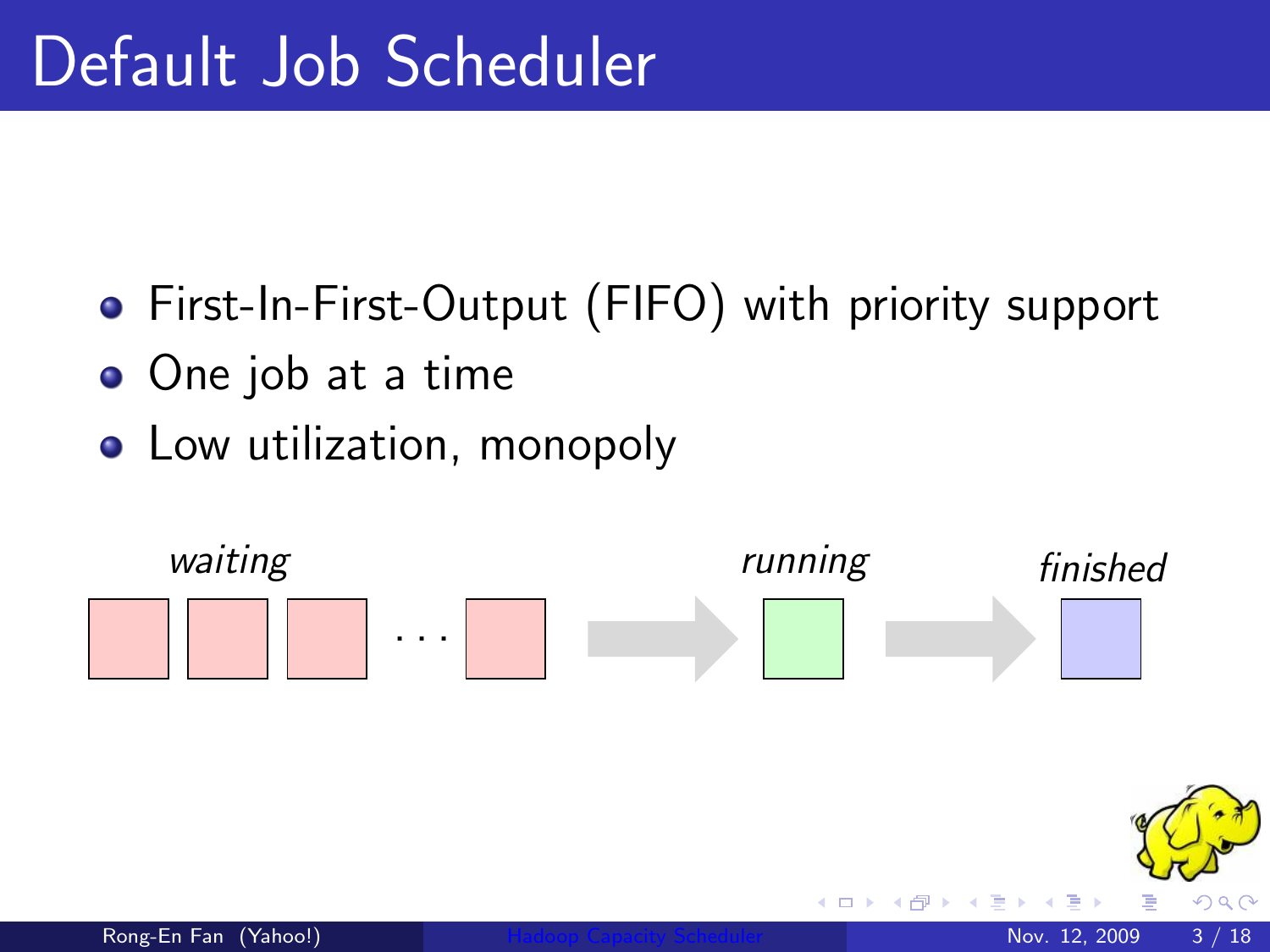- First-In-First-Output (FIFO) with priority support
- One job at a time
- Low utilization, monopoly

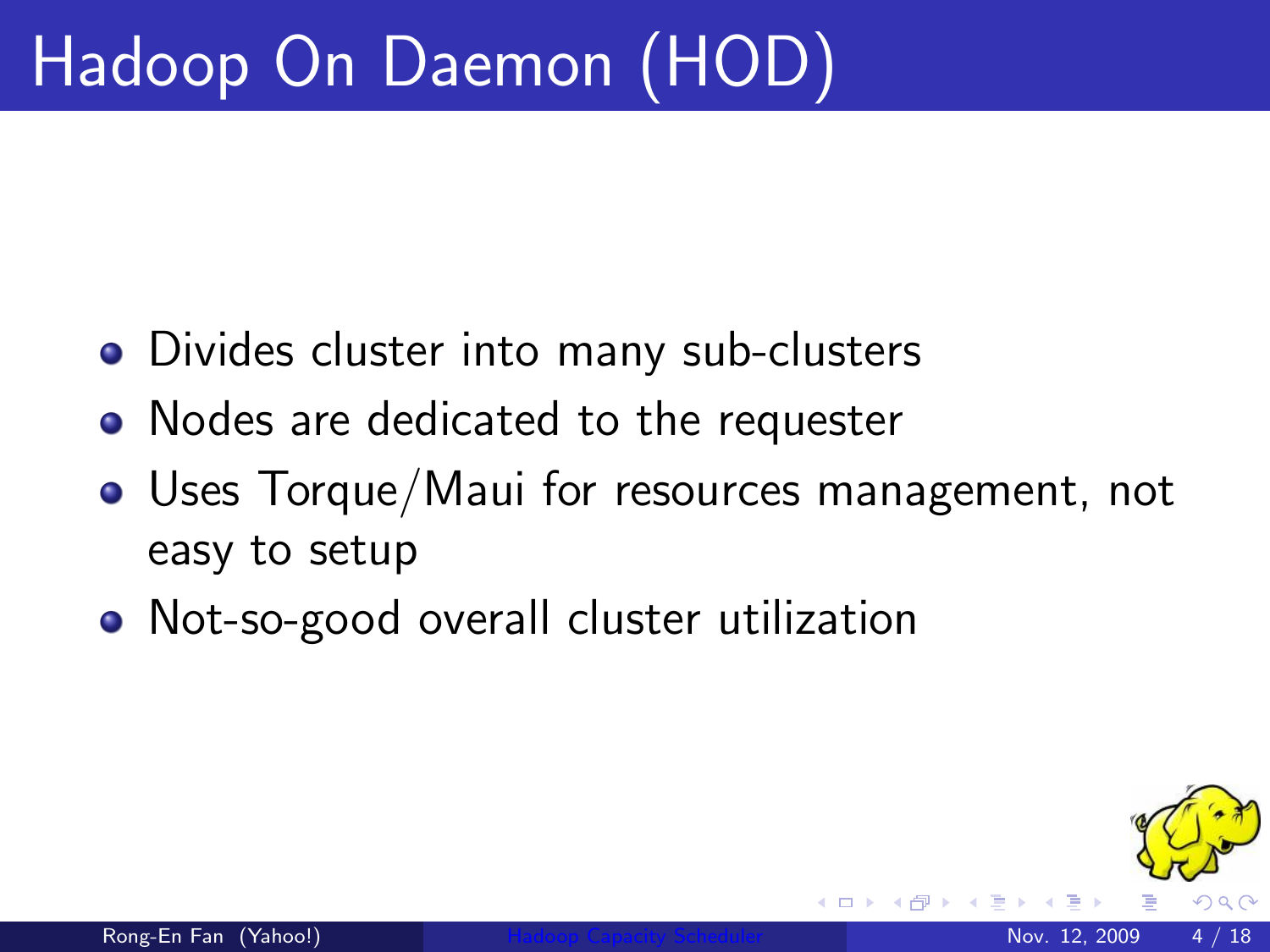# Hadoop On Daemon (HOD)

- Divides cluster into many sub-clusters
- Nodes are dedicated to the requester
- Uses Torque/Maui for resources management, not easy to setup
- Not-so-good overall cluster utilization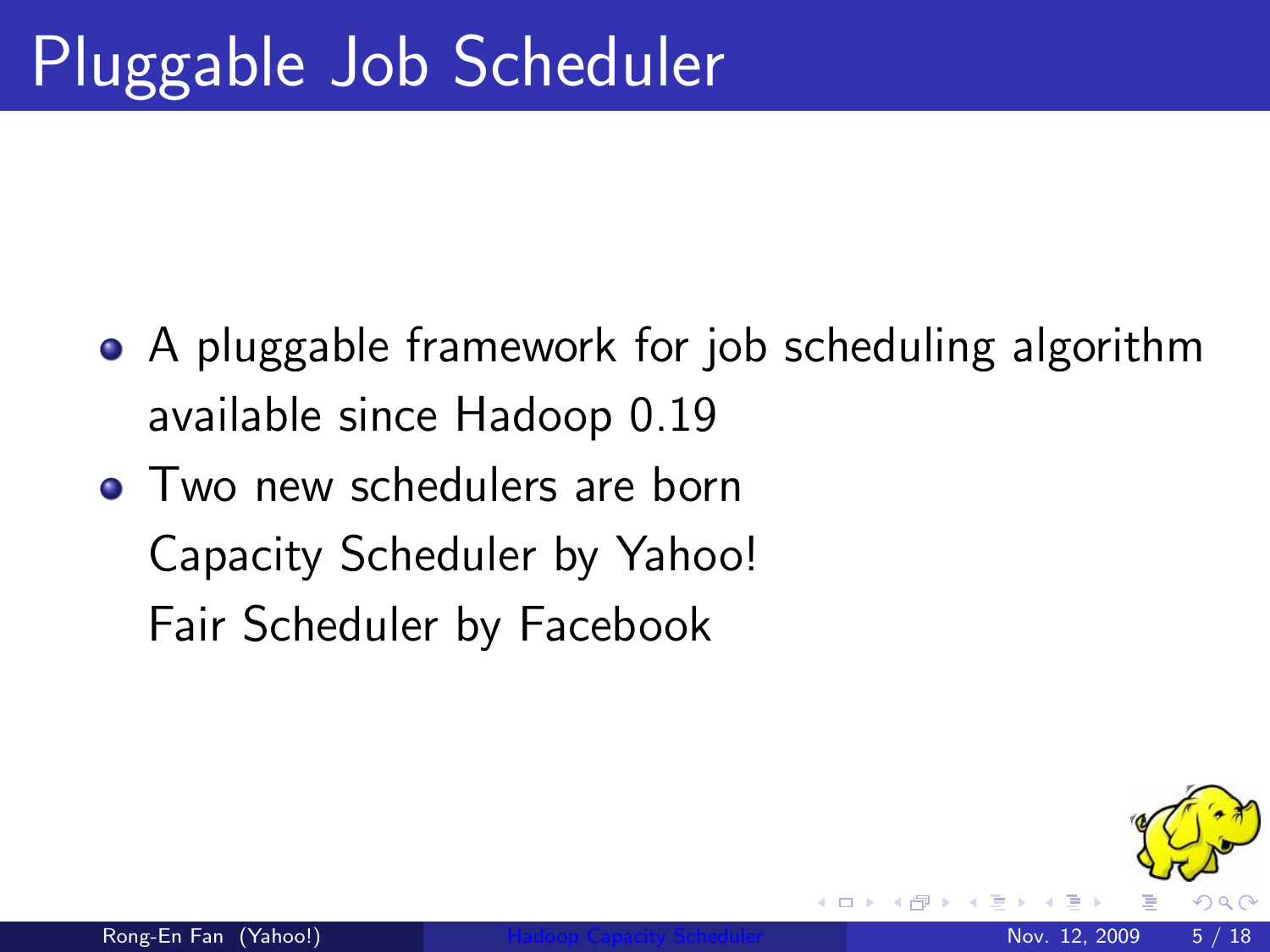- A pluggable framework for job scheduling algorithm available since Hadoop 0.19
- Two new schedulers are born Capacity Scheduler by Yahoo! Fair Scheduler by Facebook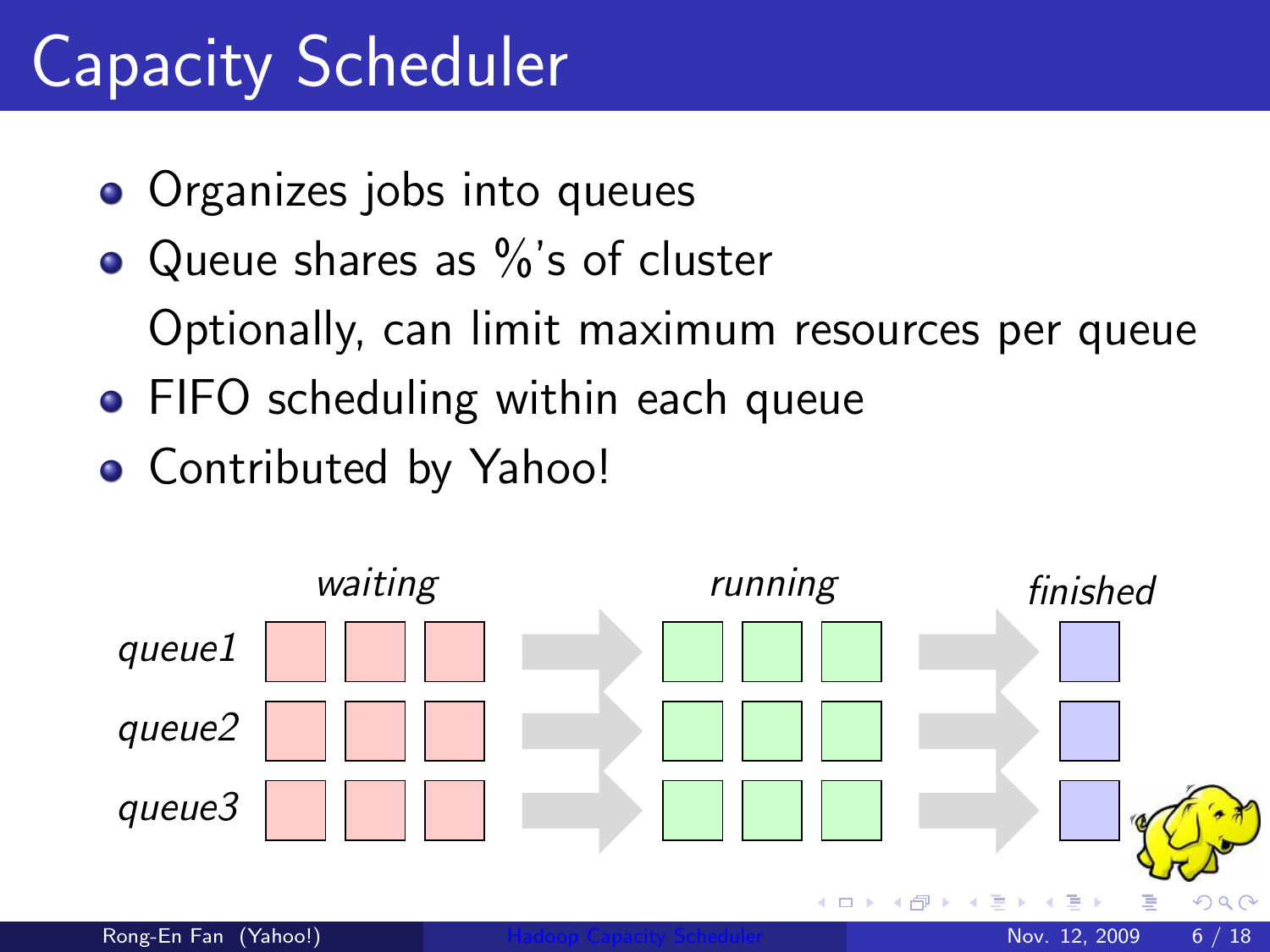## Capacity Scheduler

- Organizes jobs into queues
- $\bullet$  Queue shares as  $\%$ 's of cluster Optionally, can limit maximum resources per queue
- **FIFO scheduling within each queue**
- **Contributed by Yahoo!**

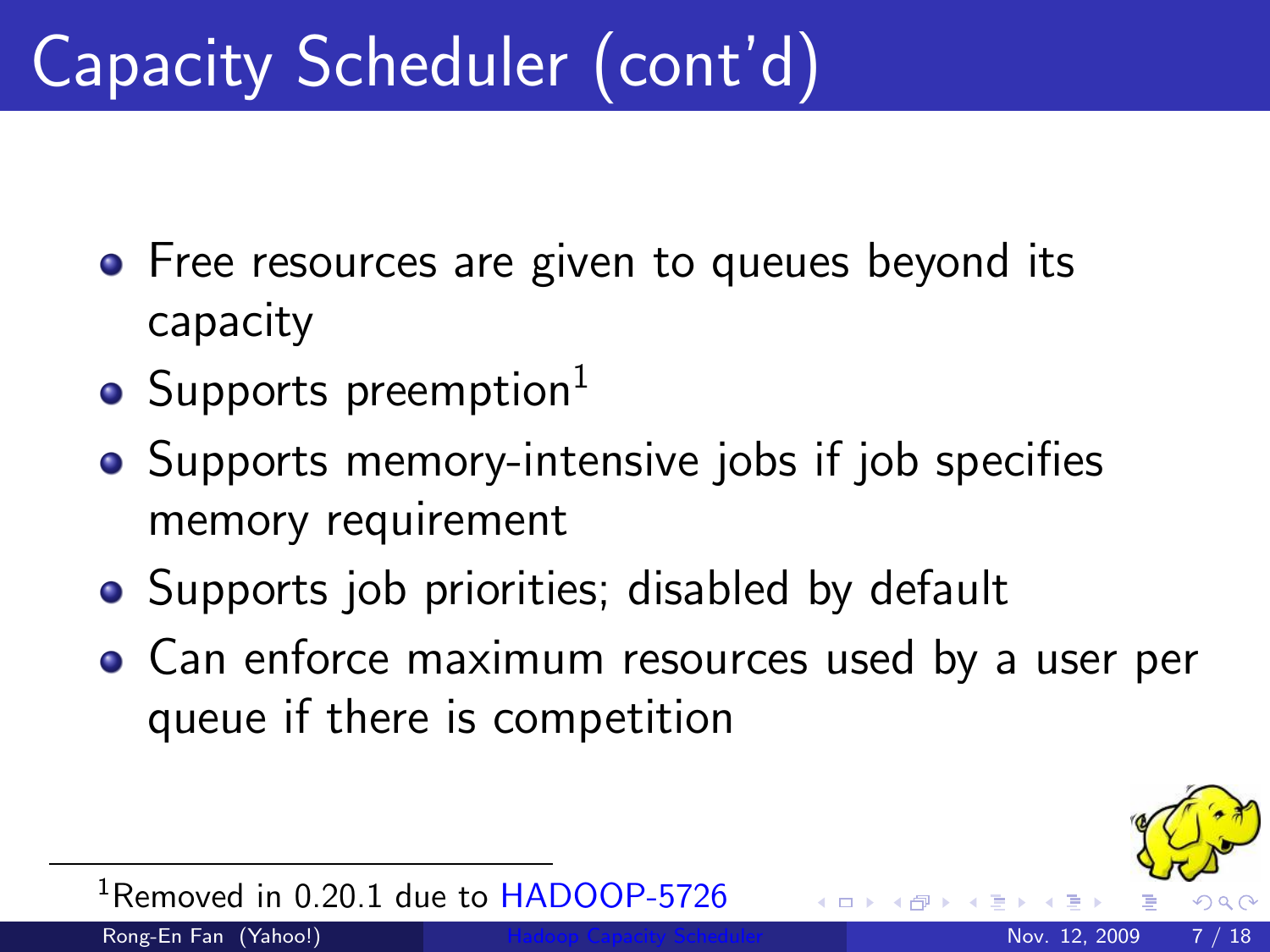## Capacity Scheduler (cont'd)

- Free resources are given to queues beyond its capacity
- Supports preemption $<sup>1</sup>$ </sup>
- Supports memory-intensive jobs if job specifies memory requirement
- Supports job priorities; disabled by default
- Can enforce maximum resources used by a user per queue if there is competition

<span id="page-6-0"></span>

<sup>1</sup>Removed in 0.20.1 due to [HADOOP-5726](http://issues.apache.org/jira/browse/HADOOP-5726)

Rong-En Fan (Yahoo!) **[Hadoop Capacity Scheduler](#page-0-0) Nov. 12, 2009** 7 / 18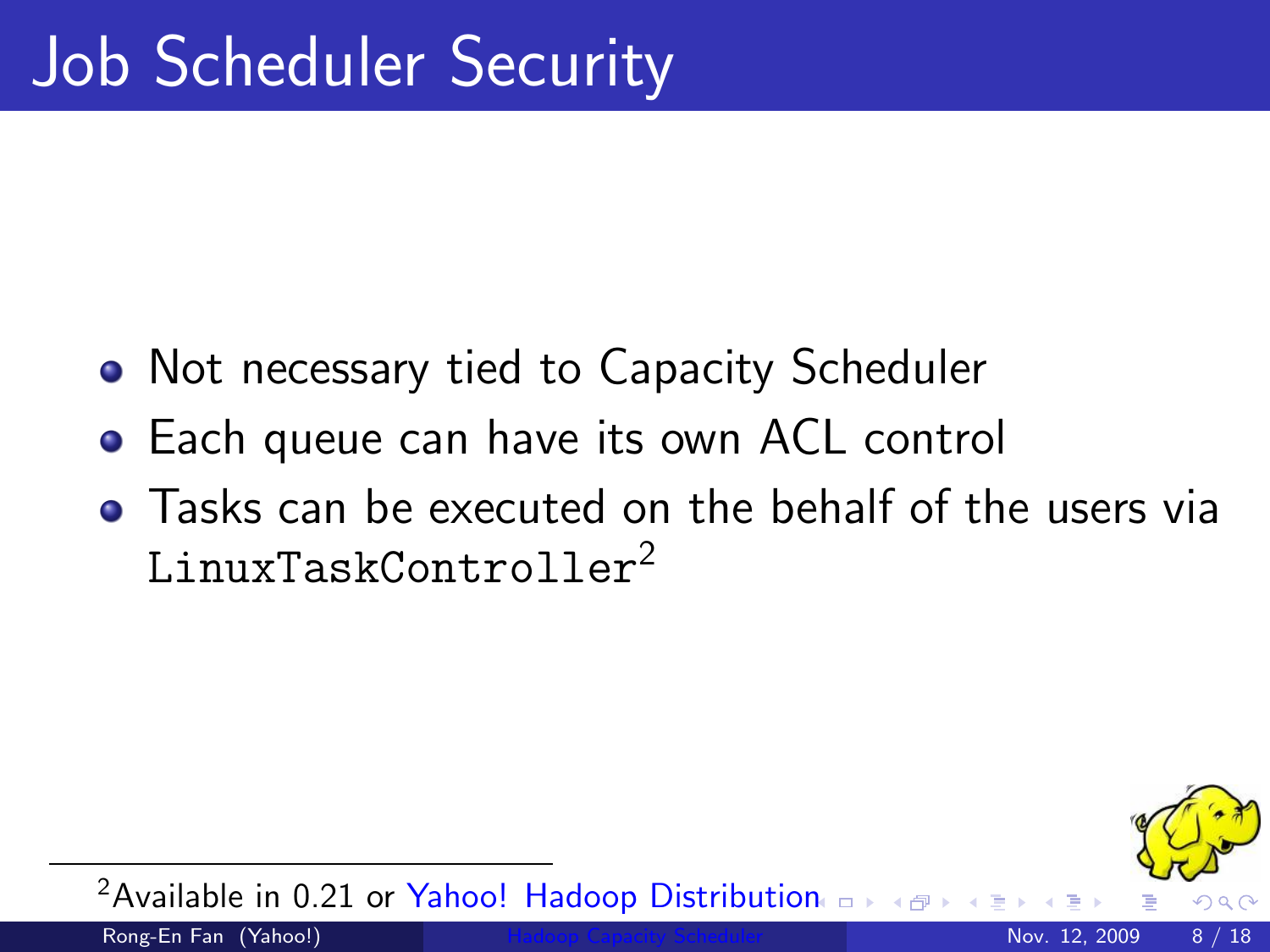- Not necessary tied to Capacity Scheduler
- **•** Each queue can have its own ACL control
- Tasks can be executed on the behalf of the users via LinuxTaskController<sup>2</sup>



<sup>2</sup> Available in 0.21 or [Yahoo! Hadoop Distribution](http://developer.yahoo.com/hadoop/distribution/)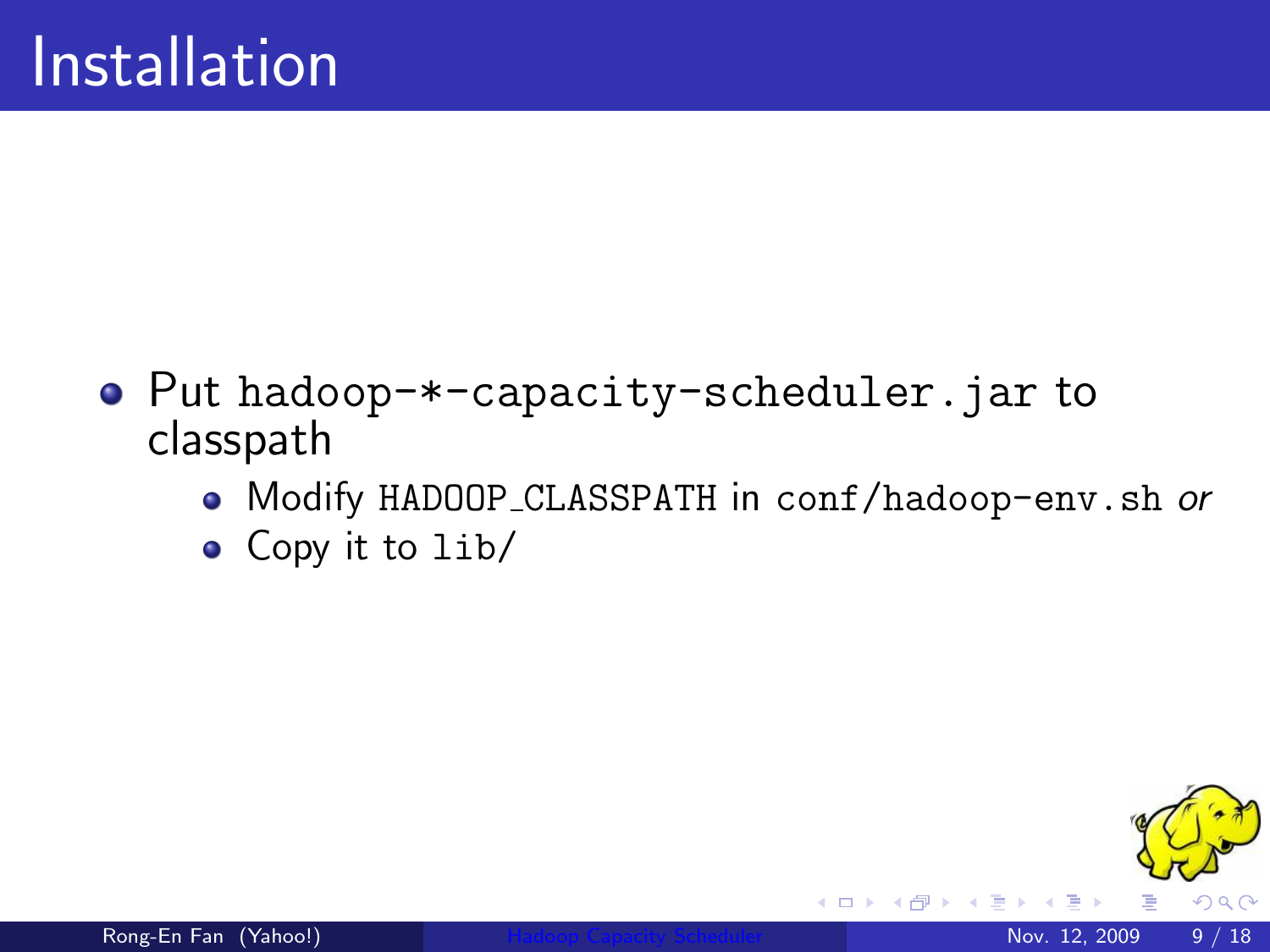- Put hadoop-\*-capacity-scheduler.jar to classpath
	- Modify HADOOP CLASSPATH in conf/hadoop-env.sh or
	- Copy it to lib/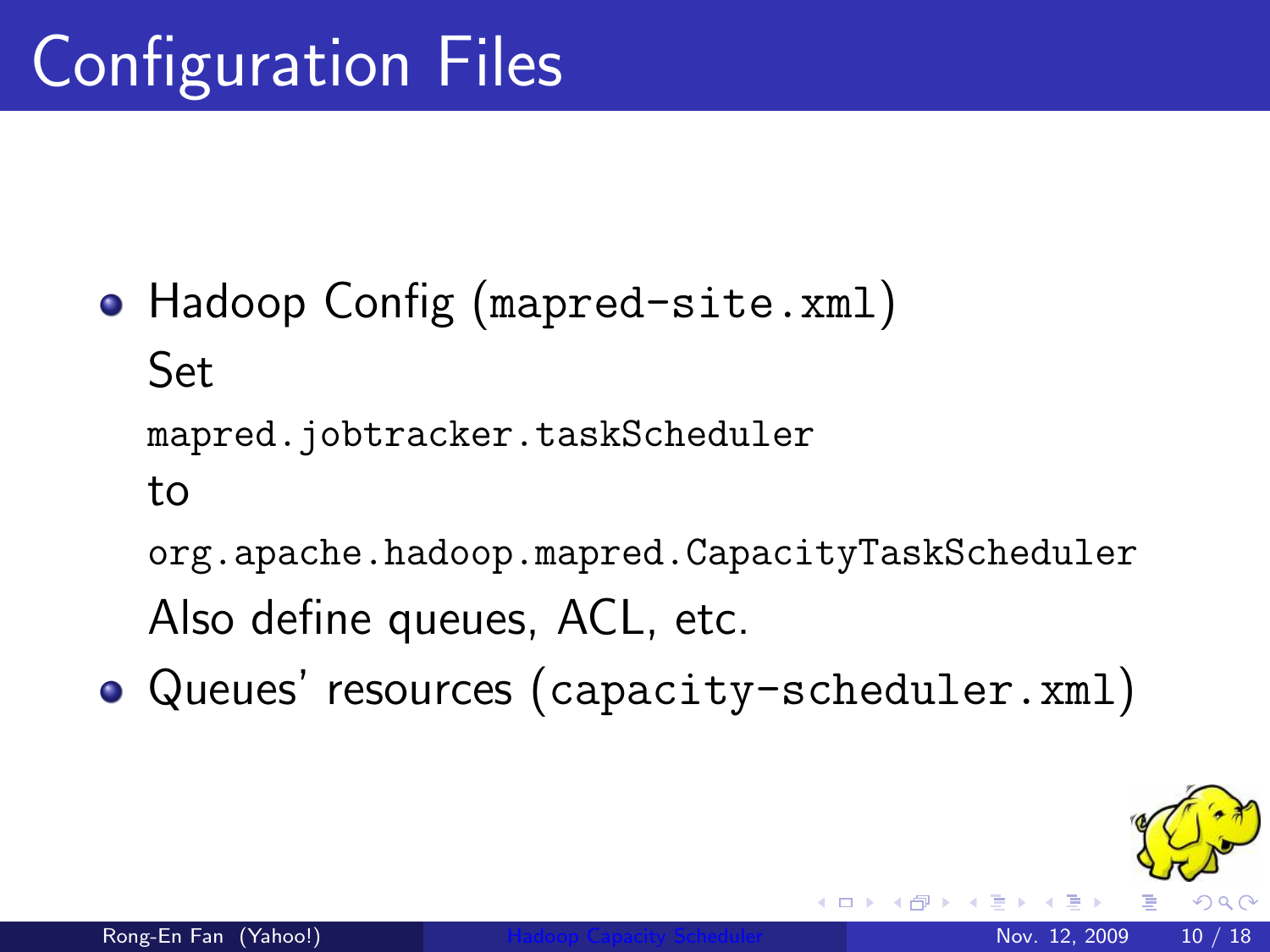- Hadoop Config (mapred-site.xml) Set mapred.jobtracker.taskScheduler to org.apache.hadoop.mapred.CapacityTaskScheduler Also define queues, ACL, etc.
- Queues' resources (capacity-scheduler.xml)

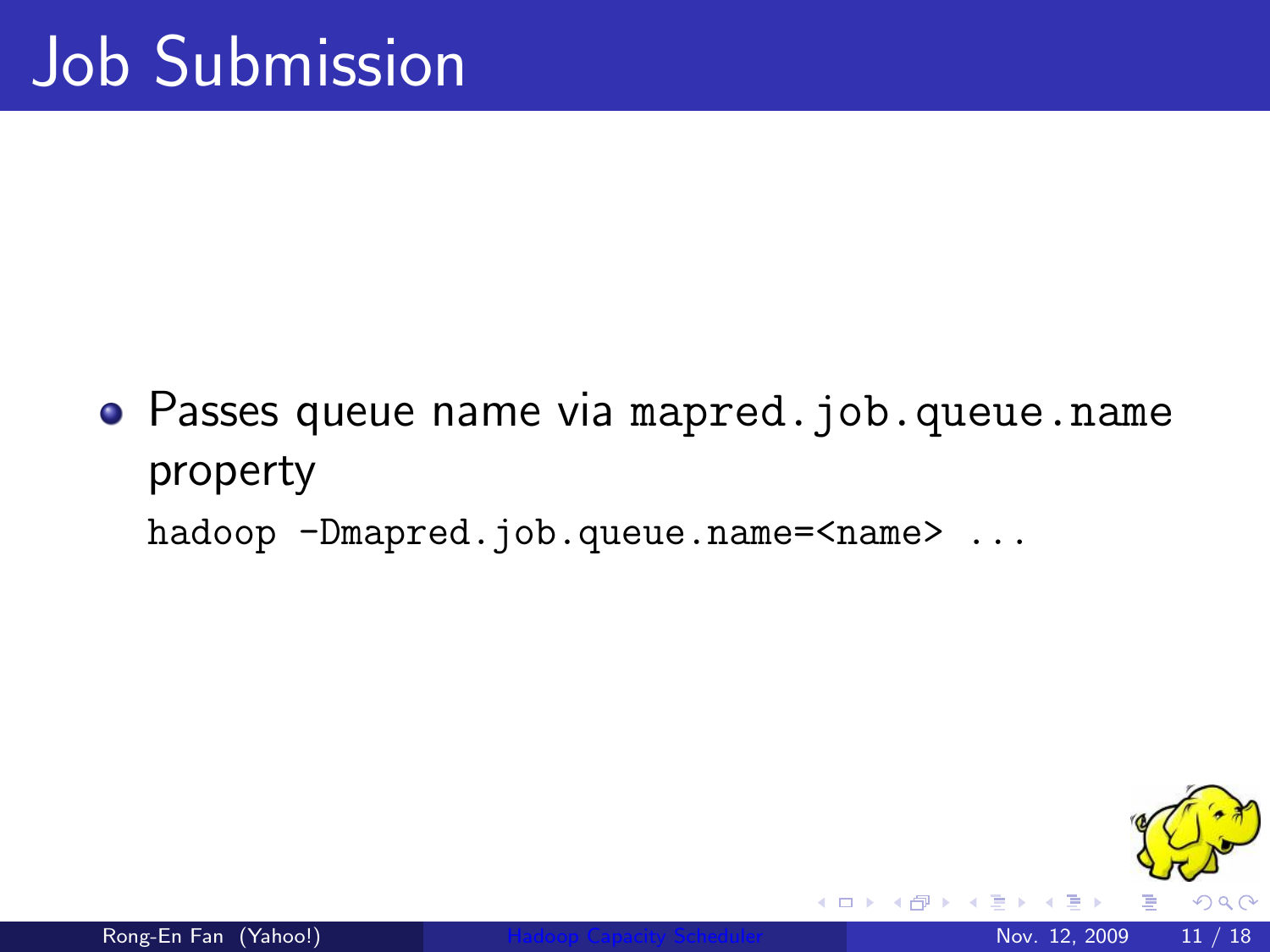Passes queue name via mapred.job.queue.name property hadoop -Dmapred.job.queue.name=<name> ...

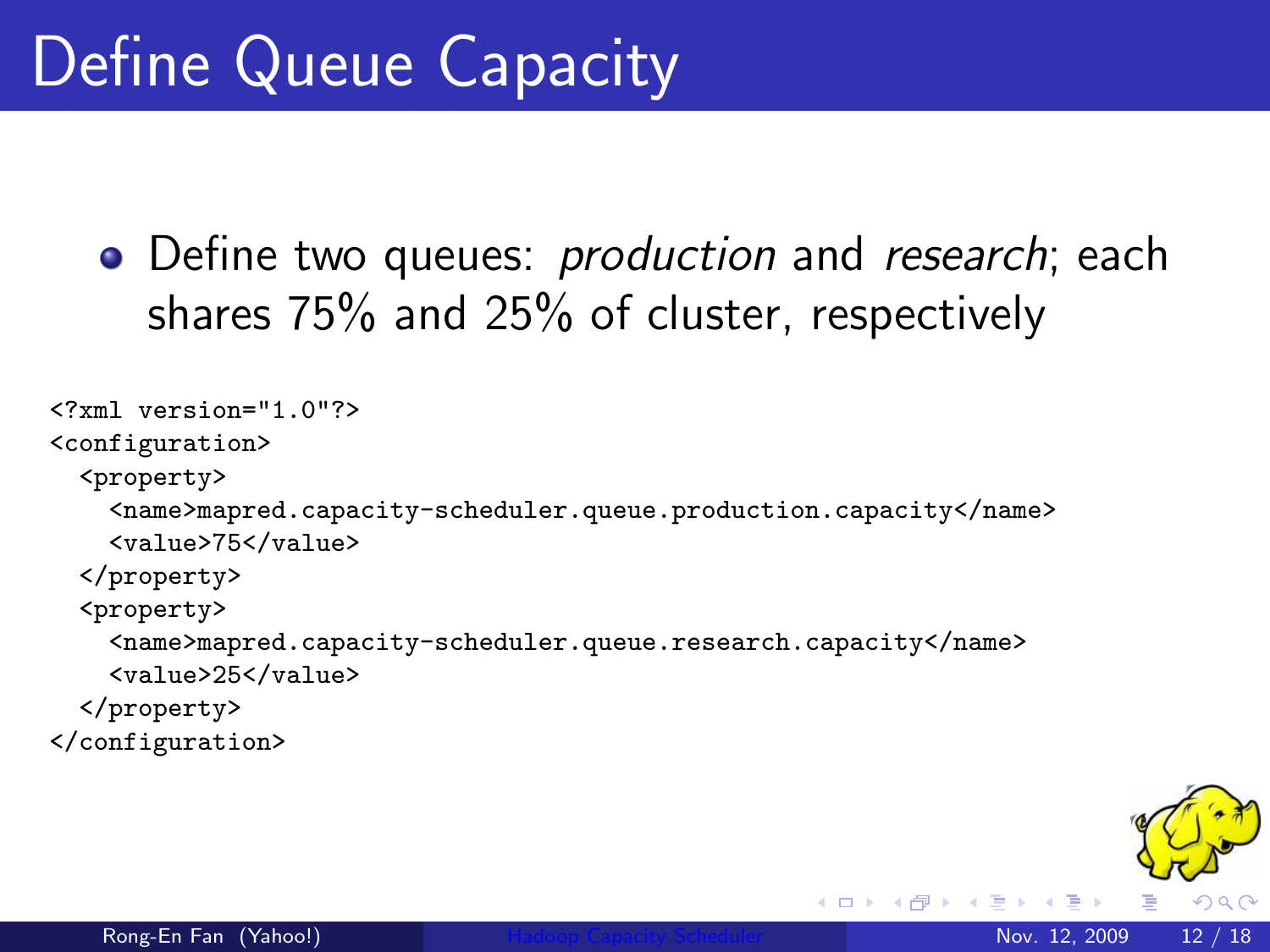• Define two queues: *production* and *research*; each shares 75% and 25% of cluster, respectively

```
<?xml version="1.0"?>
<configuration>
  <property>
    <name>mapred.capacity-scheduler.queue.production.capacity</name>
    <value>75</value>
  </property>
  <property>
    <name>mapred.capacity-scheduler.queue.research.capacity</name>
    <value>25</value>
  </property>
</configuration>
```


K □ ▶ K @ ▶ K ミ ▶ K ミ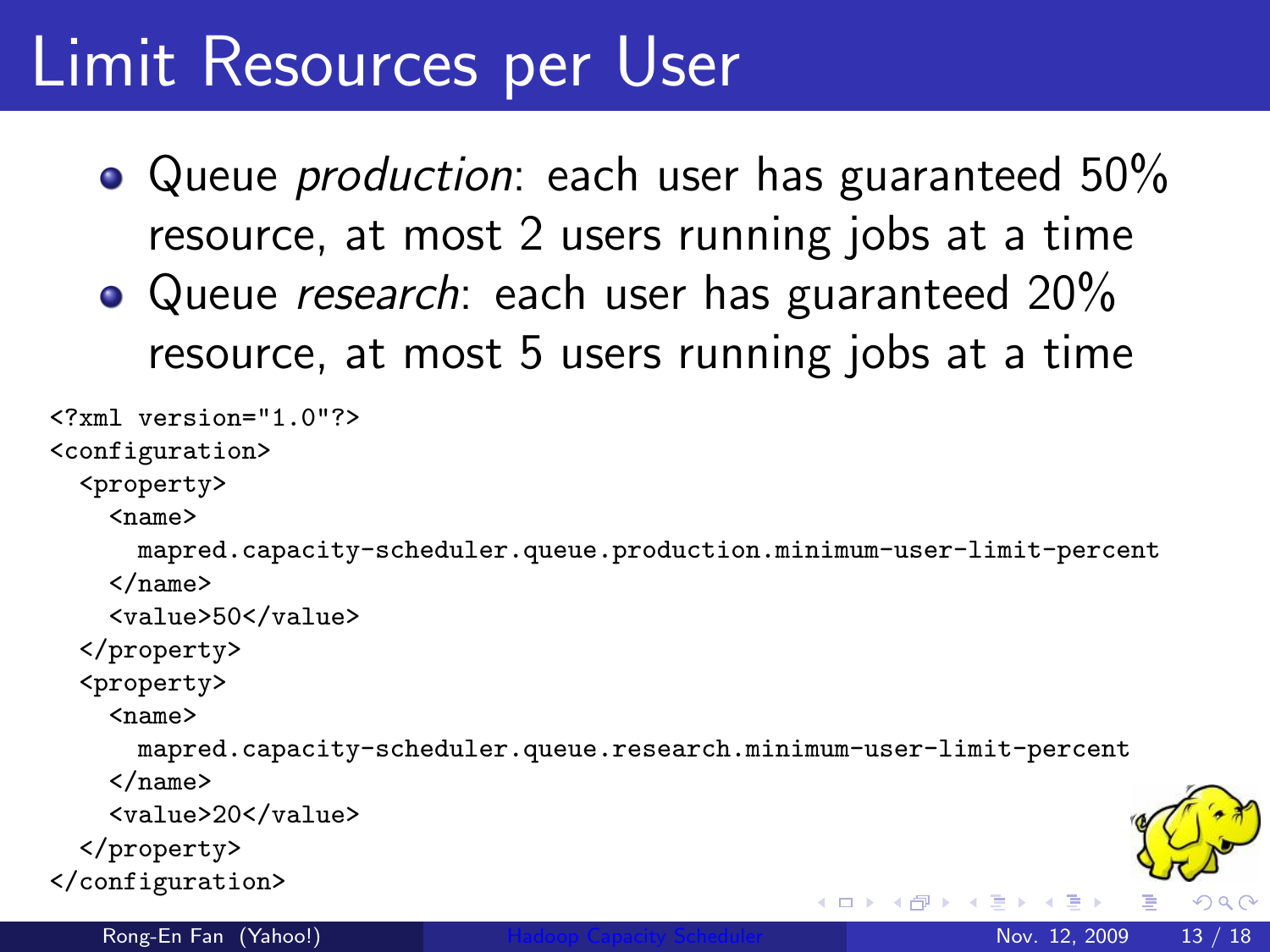#### Limit Resources per User

- Queue *production*: each user has guaranteed 50% resource, at most 2 users running jobs at a time
- Queue research: each user has guaranteed 20% resource, at most 5 users running jobs at a time

```
<?xml version="1.0"?>
<configuration>
  <property>
    <sub>name</sub></sub>
      mapred.capacity-scheduler.queue.production.minimum-user-limit-percent
   </name>
    <value>50</value>
  </property>
  <property>
    <sub>name</sub></sub>
      mapred.capacity-scheduler.queue.research.minimum-user-limit-percent
    </name>
   <value>20</value>
  </property>
</configuration>
                                                                                  \Omegaイロメ イ母メ イヨメ イヨ
   Rong-En Fan (Yahoo!)Hadoop Capacity Scheduler Nov. 12, 2009 13 / 18
```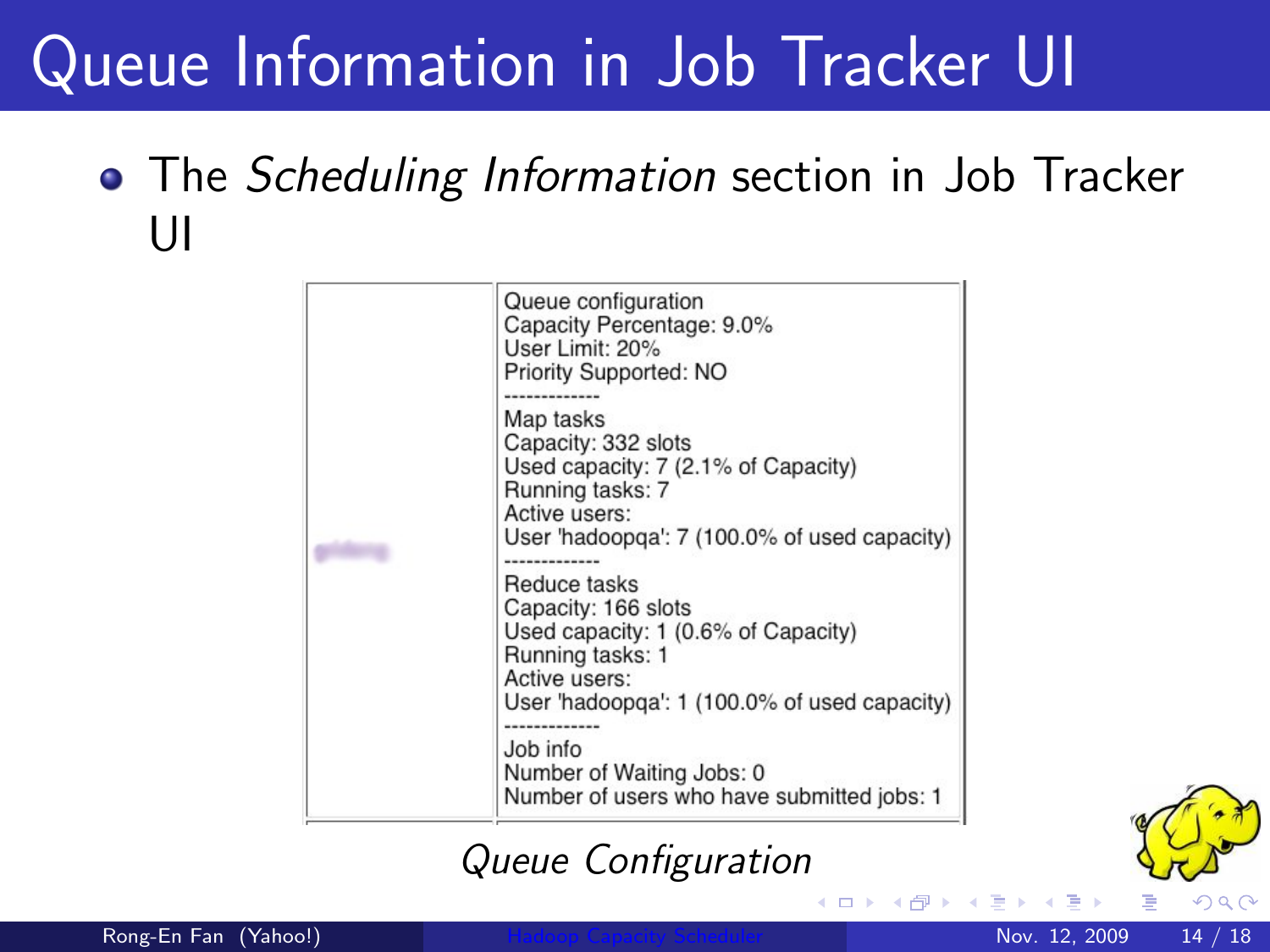#### Queue Information in Job Tracker UI

#### • The Scheduling Information section in Job Tracker UI

| Queue configuration<br>Capacity Percentage: 9.0%<br>User Limit: 20%<br>Priority Supported: NO                                                                                                                                                                                                                                                                                                                          |  |  |  |  |  |
|------------------------------------------------------------------------------------------------------------------------------------------------------------------------------------------------------------------------------------------------------------------------------------------------------------------------------------------------------------------------------------------------------------------------|--|--|--|--|--|
| Map tasks<br>Capacity: 332 slots<br>Used capacity: 7 (2.1% of Capacity)<br>Running tasks: 7<br>Active users:<br>User 'hadoopga': 7 (100.0% of used capacity)<br>Reduce tasks<br>Capacity: 166 slots<br>Used capacity: 1 (0.6% of Capacity)<br>Running tasks: 1<br>Active users:<br>User 'hadoopga': 1 (100.0% of used capacity)<br>Job info<br>Number of Waiting Jobs: 0<br>Number of users who have submitted jobs: 1 |  |  |  |  |  |

#### Queue Configuration

 $\leftarrow$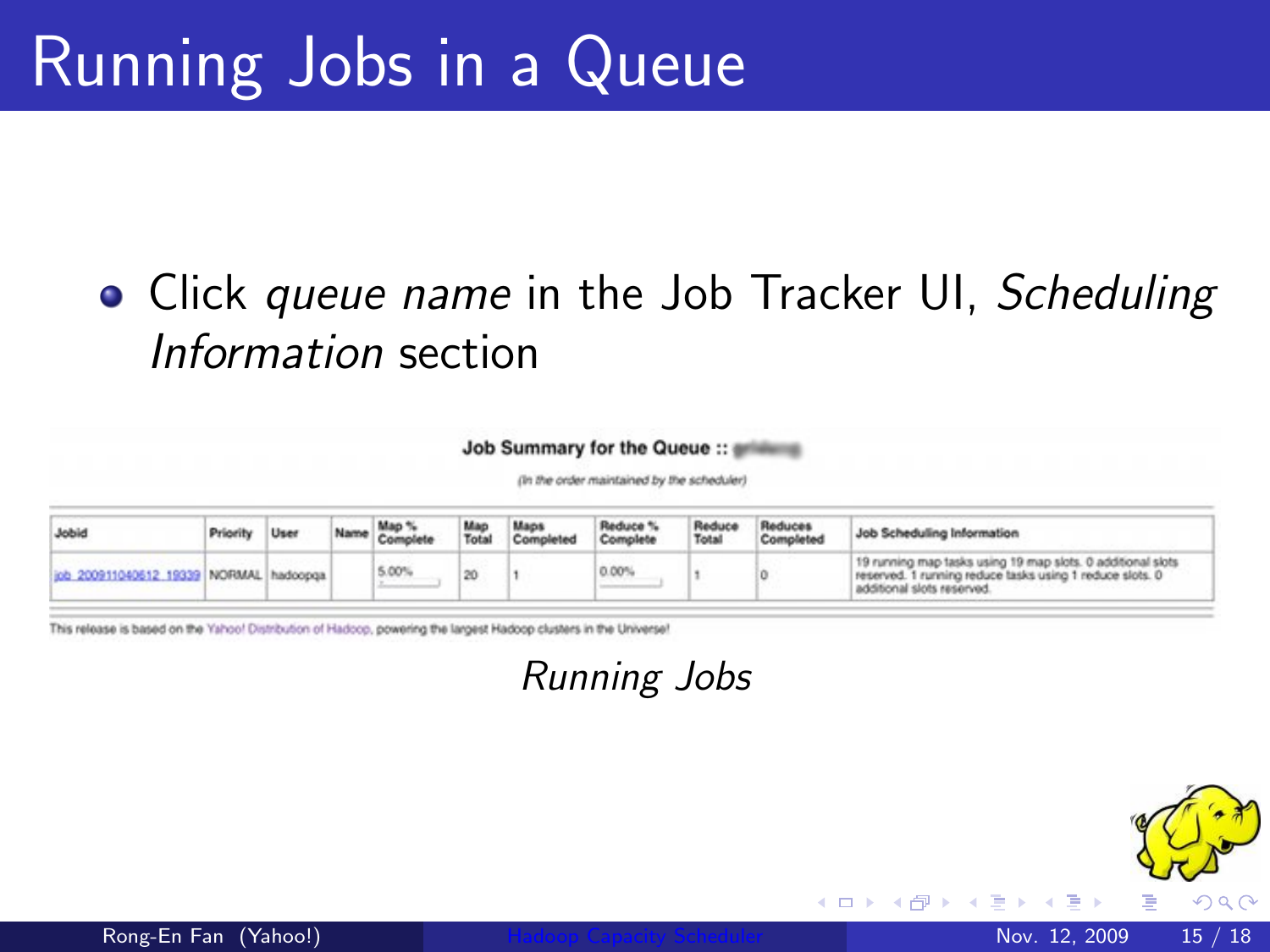#### • Click queue name in the Job Tracker UI, Scheduling Information section

#### Job Summary for the Queue ::

(in the order maintained by the scheduler)

| Jobid                                          | Priority | User | Man <sup>1</sup><br>Comply | Mac<br>Total | Maps<br>Completed | Reduce %<br>Complete | Reduce<br>Total | Reduces<br>Completed | Job Scheduling Information                                                                                                                            |
|------------------------------------------------|----------|------|----------------------------|--------------|-------------------|----------------------|-----------------|----------------------|-------------------------------------------------------------------------------------------------------------------------------------------------------|
| (inb 200911040612, 19339   NORMAL   hadoopga 7 |          |      | 5.00%                      |              |                   | $0.00^{\circ}$       |                 |                      | 19 running map tasks using 19 map slots. 0 additional slots<br>reserved. 1 running reduce tasks using 1 reduce slots. 0<br>additional slots reserved. |

This release is based on the Yahoo! Distribution of Hadoop, powering the largest Hadoop clusters in the Universe!

Running Jobs

4 0 8



 $\Omega$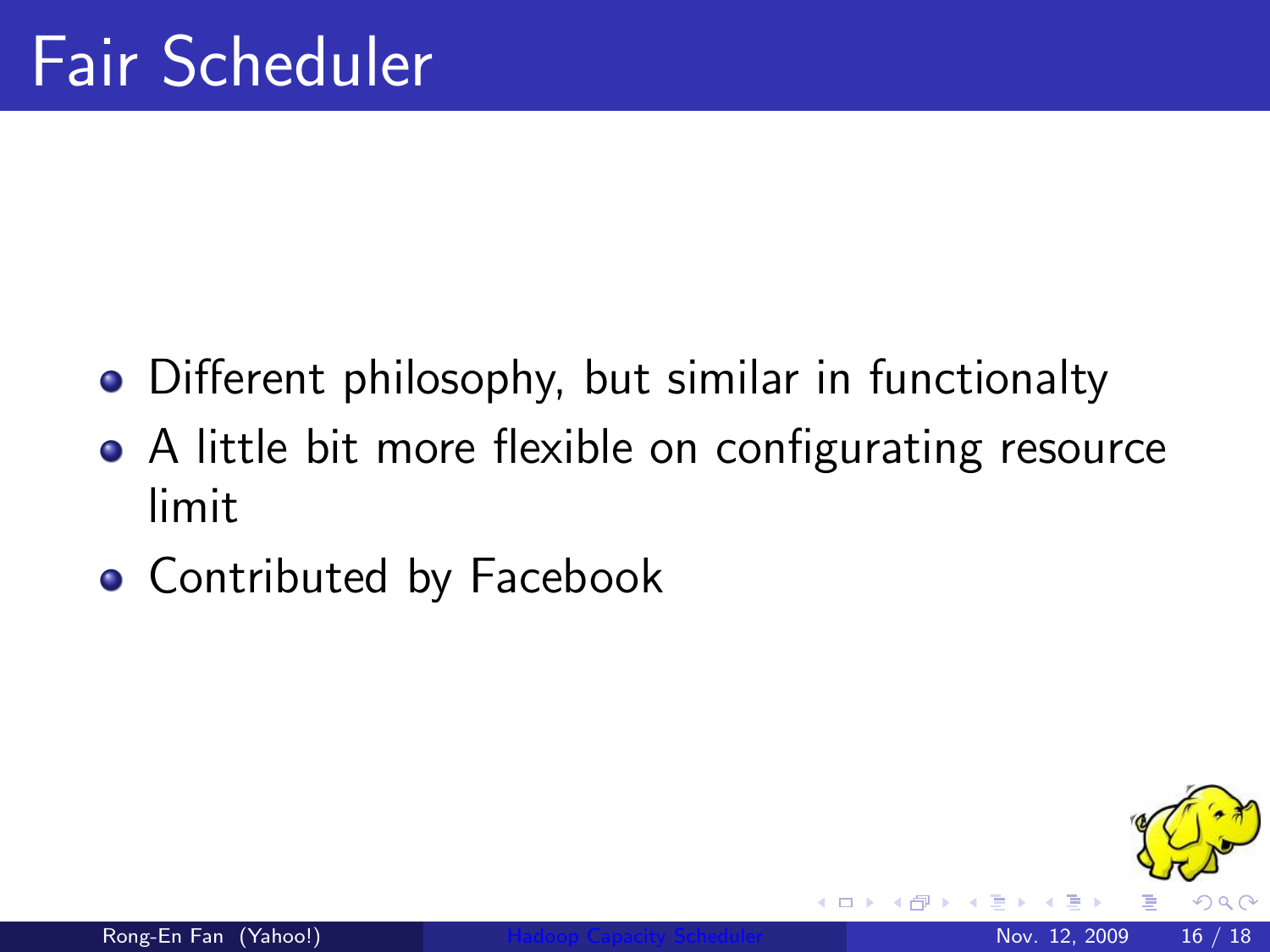- Different philosophy, but similar in functionalty
- A little bit more flexible on configurating resource limit
- **Contributed by Facebook**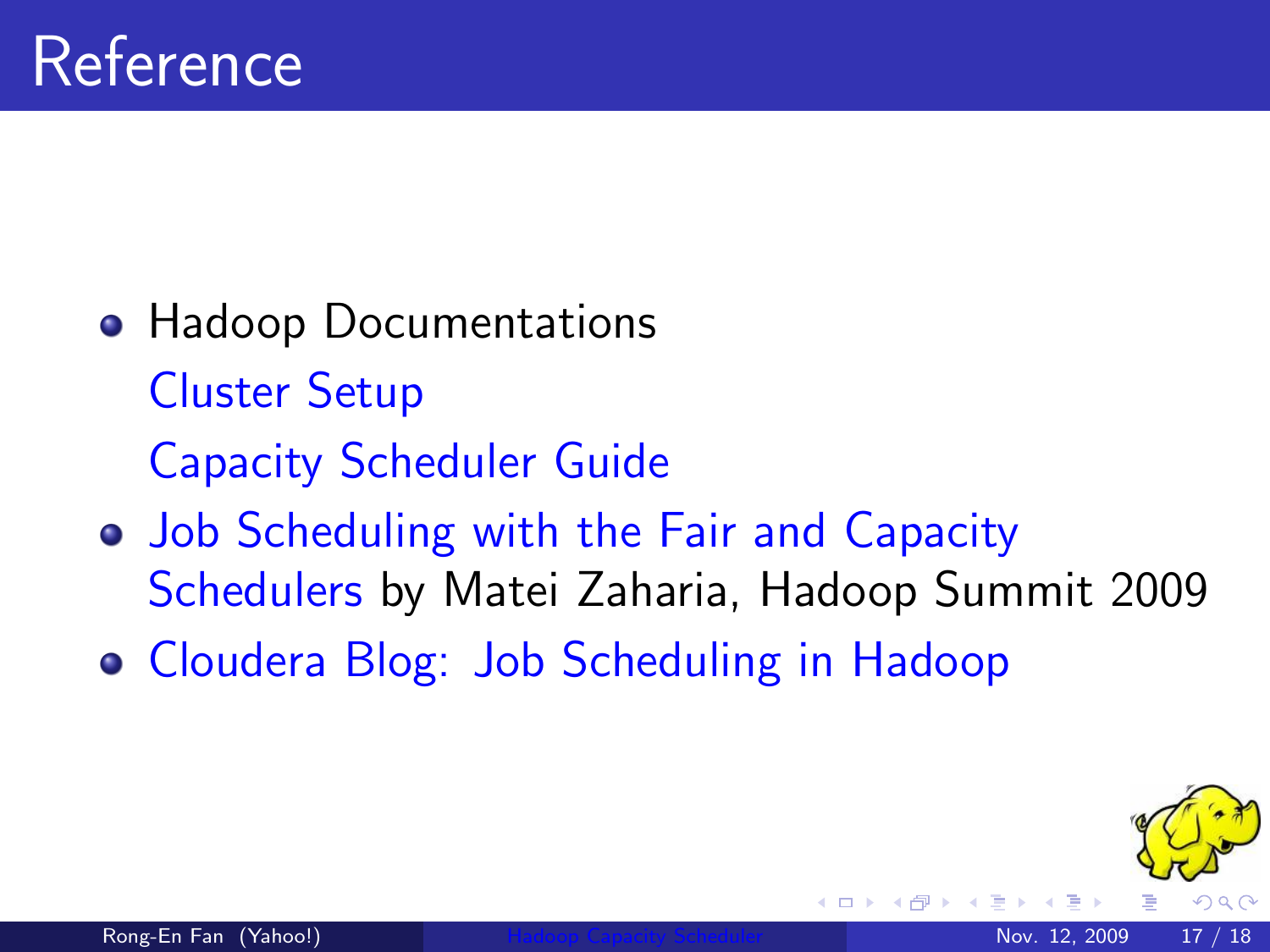- **Hadoop Documentations** [Cluster Setup](http://hadoop.apache.org/common/docs/current/cluster_setup.html) [Capacity Scheduler Guide](http://hadoop.apache.org/common/docs/current/capacity_scheduler.html)
- [Job Scheduling with the Fair and Capacity](http://www.cs.berkeley.edu/~matei/talks/2009/hadoop_summit_fair_scheduler.pdf) [Schedulers](http://www.cs.berkeley.edu/~matei/talks/2009/hadoop_summit_fair_scheduler.pdf) by Matei Zaharia, Hadoop Summit 2009
- [Cloudera Blog: Job Scheduling in Hadoop](http://www.cloudera.com/blog/2008/11/23/job-scheduling-in-hadoop/)